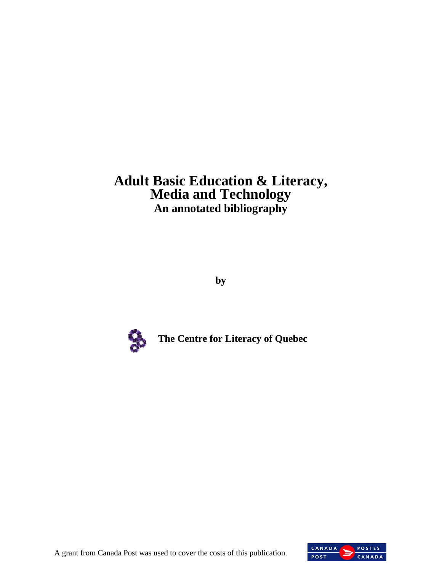# **Adult Basic Education & Literacy, Media and Technology An annotated bibliography**

**by** 



**The Centre for Literacy of Quebec** 



A grant from Canada Post was used to cover the costs of this publication.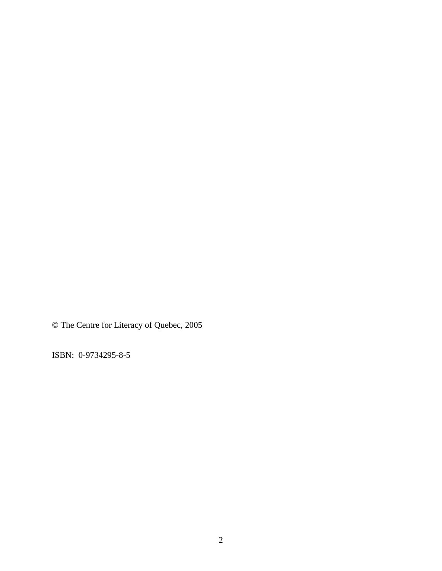© The Centre for Literacy of Quebec, 2005

ISBN: 0-9734295-8-5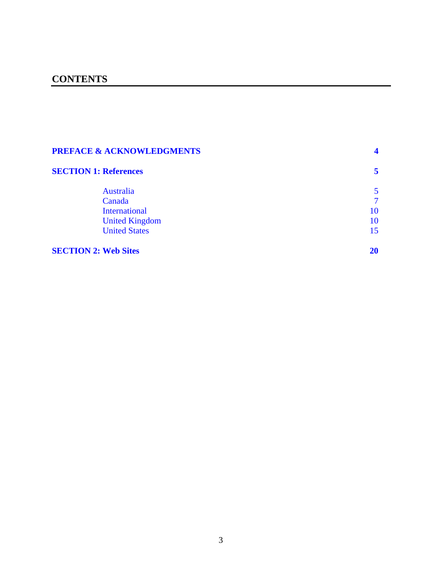# **SECTION 1: References** 5

| Australia             | 5      |
|-----------------------|--------|
| Canada                | $\tau$ |
| <b>International</b>  | 10     |
| <b>United Kingdom</b> | 10     |
| <b>United States</b>  | 15     |

# **SECTION 2: Web Sites 20**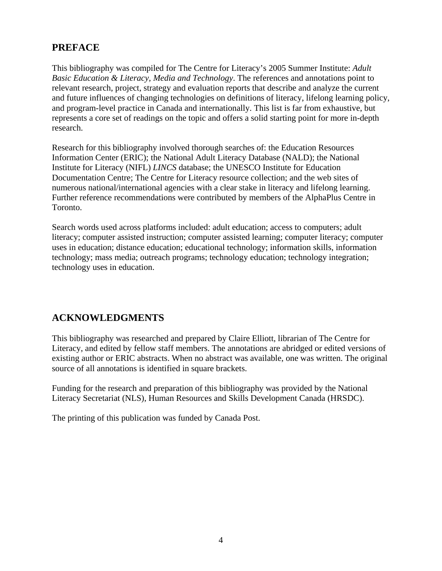# <span id="page-3-0"></span>**PREFACE**

This bibliography was compiled for The Centre for Literacy's 2005 Summer Institute: *Adult Basic Education & Literacy, Media and Technology*. The references and annotations point to relevant research, project, strategy and evaluation reports that describe and analyze the current and future influences of changing technologies on definitions of literacy, lifelong learning policy, and program-level practice in Canada and internationally. This list is far from exhaustive, but represents a core set of readings on the topic and offers a solid starting point for more in-depth research.

Research for this bibliography involved thorough searches of: the Education Resources Information Center (ERIC); the National Adult Literacy Database (NALD); the National Institute for Literacy (NIFL) *LINCS* database; the UNESCO Institute for Education Documentation Centre; The Centre for Literacy resource collection; and the web sites of numerous national/international agencies with a clear stake in literacy and lifelong learning. Further reference recommendations were contributed by members of the AlphaPlus Centre in Toronto.

Search words used across platforms included: adult education; access to computers; adult literacy; computer assisted instruction; computer assisted learning; computer literacy; computer uses in education; distance education; educational technology; information skills, information technology; mass media; outreach programs; technology education; technology integration; technology uses in education.

# **ACKNOWLEDGMENTS**

This bibliography was researched and prepared by Claire Elliott, librarian of The Centre for Literacy, and edited by fellow staff members. The annotations are abridged or edited versions of existing author or ERIC abstracts. When no abstract was available, one was written. The original source of all annotations is identified in square brackets.

Funding for the research and preparation of this bibliography was provided by the National Literacy Secretariat (NLS), Human Resources and Skills Development Canada (HRSDC).

The printing of this publication was funded by Canada Post.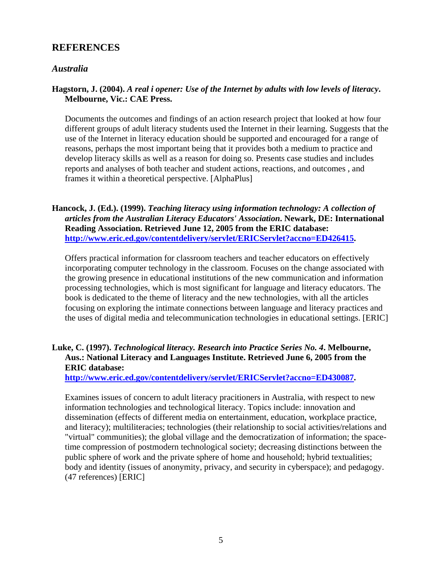# <span id="page-4-0"></span>**REFERENCES**

# *Australia*

# **Hagstorn, J. (2004).** *A real i opener: Use of the Internet by adults with low levels of literacy***. Melbourne, Vic.: CAE Press.**

Documents the outcomes and findings of an action research project that looked at how four different groups of adult literacy students used the Internet in their learning. Suggests that the use of the Internet in literacy education should be supported and encouraged for a range of reasons, perhaps the most important being that it provides both a medium to practice and develop literacy skills as well as a reason for doing so. Presents case studies and includes reports and analyses of both teacher and student actions, reactions, and outcomes , and frames it within a theoretical perspective. [AlphaPlus]

# **Hancock, J. (Ed.). (1999).** *Teaching literacy using information technology: A collection of articles from the Australian Literacy Educators' Association***. Newark, DE: International Reading Association. Retrieved June 12, 2005 from the ERIC database: [http://www.eric.ed.gov/contentdelivery/servlet/ERICServlet?accno=ED426415.](http://www.eric.ed.gov/contentdelivery/servlet/ERICServlet?accno=ED426415)**

Offers practical information for classroom teachers and teacher educators on effectively incorporating computer technology in the classroom. Focuses on the change associated with the growing presence in educational institutions of the new communication and information processing technologies, which is most significant for language and literacy educators. The book is dedicated to the theme of literacy and the new technologies, with all the articles focusing on exploring the intimate connections between language and literacy practices and the uses of digital media and telecommunication technologies in educational settings. [ERIC]

# **Luke, C. (1997).** *Technological literacy. Research into Practice Series No. 4***. Melbourne, Aus.: National Literacy and Languages Institute. Retrieved June 6, 2005 from the ERIC database:**

**[http://www.eric.ed.gov/contentdelivery/servlet/ERICServlet?accno=ED430087.](http://www.eric.ed.gov/contentdelivery/servlet/ERICServlet?accno=ED430087)** 

Examines issues of concern to adult literacy pracitioners in Australia, with respect to new information technologies and technological literacy. Topics include: innovation and dissemination (effects of different media on entertainment, education, workplace practice, and literacy); multiliteracies; technologies (their relationship to social activities/relations and "virtual" communities); the global village and the democratization of information; the spacetime compression of postmodern technological society; decreasing distinctions between the public sphere of work and the private sphere of home and household; hybrid textualities; body and identity (issues of anonymity, privacy, and security in cyberspace); and pedagogy. (47 references) [ERIC]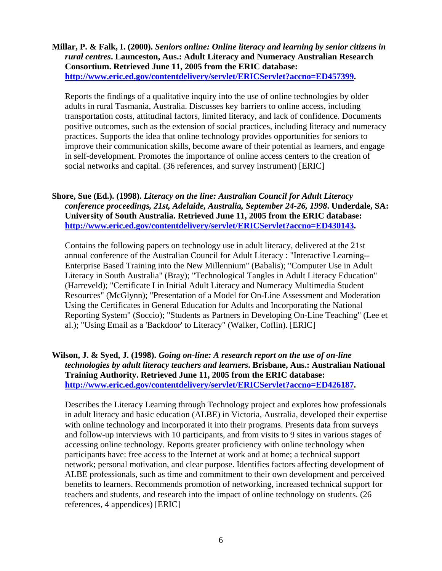**Millar, P. & Falk, I. (2000).** *Seniors online: Online literacy and learning by senior citizens in rural centres***. Launceston, Aus.: Adult Literacy and Numeracy Australian Research Consortium. Retrieved June 11, 2005 from the ERIC database: <http://www.eric.ed.gov/contentdelivery/servlet/ERICServlet?accno=ED457399>.** 

Reports the findings of a qualitative inquiry into the use of online technologies by older adults in rural Tasmania, Australia. Discusses key barriers to online access, including transportation costs, attitudinal factors, limited literacy, and lack of confidence. Documents positive outcomes, such as the extension of social practices, including literacy and numeracy practices. Supports the idea that online technology provides opportunities for seniors to improve their communication skills, become aware of their potential as learners, and engage in self-development. Promotes the importance of online access centers to the creation of social networks and capital. (36 references, and survey instrument) [ERIC]

### **Shore, Sue (Ed.). (1998).** *Literacy on the line: Australian Council for Adult Literacy conference proceedings, 21st, Adelaide, Australia, September 24-26, 1998***. Underdale, SA: University of South Australia. Retrieved June 11, 2005 from the ERIC database: [http://www.eric.ed.gov/contentdelivery/servlet/ERICServlet?accno=ED430143.](http://www.eric.ed.gov/contentdelivery/servlet/ERICServlet?accno=ED430143)**

Contains the following papers on technology use in adult literacy, delivered at the 21st annual conference of the Australian Council for Adult Literacy : "Interactive Learning- Enterprise Based Training into the New Millennium" (Babalis); "Computer Use in Adult Literacy in South Australia" (Bray); "Technological Tangles in Adult Literacy Education" (Harreveld); "Certificate I in Initial Adult Literacy and Numeracy Multimedia Student Resources" (McGlynn); "Presentation of a Model for On-Line Assessment and Moderation Using the Certificates in General Education for Adults and Incorporating the National Reporting System" (Soccio); "Students as Partners in Developing On-Line Teaching" (Lee et al.); "Using Email as a 'Backdoor' to Literacy" (Walker, Coflin). [ERIC]

# **Wilson, J. & Syed, J. (1998).** *Going on-line: A research report on the use of on-line technologies by adult literacy teachers and learners***. Brisbane, Aus.: Australian National Training Authority. Retrieved June 11, 2005 from the ERIC database: [http://www.eric.ed.gov/contentdelivery/servlet/ERICServlet?accno=ED426187.](http://www.eric.ed.gov/contentdelivery/servlet/ERICServlet?accno=ED426187)**

Describes the Literacy Learning through Technology project and explores how professionals in adult literacy and basic education (ALBE) in Victoria, Australia, developed their expertise with online technology and incorporated it into their programs. Presents data from surveys and follow-up interviews with 10 participants, and from visits to 9 sites in various stages of accessing online technology. Reports greater proficiency with online technology when participants have: free access to the Internet at work and at home; a technical support network; personal motivation, and clear purpose. Identifies factors affecting development of ALBE professionals, such as time and commitment to their own development and perceived benefits to learners. Recommends promotion of networking, increased technical support for teachers and students, and research into the impact of online technology on students. (26 references, 4 appendices) [ERIC]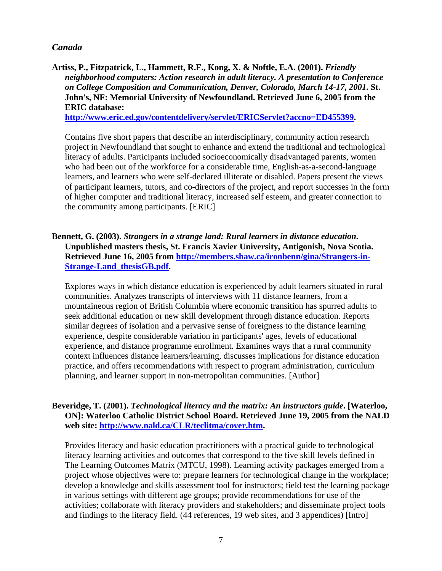# <span id="page-6-0"></span>*Canada*

**Artiss, P., Fitzpatrick, L., Hammett, R.F., Kong, X. & Noftle, E.A. (2001).** *Friendly neighborhood computers: Action research in adult literacy. A presentation to Conference on College Composition and Communication, Denver, Colorado, March 14-17, 2001***. St. John's, NF: Memorial University of Newfoundland. Retrieved June 6, 2005 from the ERIC database:** 

**[http://www.eric.ed.gov/contentdelivery/servlet/ERICServlet?accno=ED455399.](http://www.eric.ed.gov/contentdelivery/servlet/ERICServlet?accno=ED455399)** 

Contains five short papers that describe an interdisciplinary, community action research project in Newfoundland that sought to enhance and extend the traditional and technological literacy of adults. Participants included socioeconomically disadvantaged parents, women who had been out of the workforce for a considerable time, English-as-a-second-language learners, and learners who were self-declared illiterate or disabled. Papers present the views of participant learners, tutors, and co-directors of the project, and report successes in the form of higher computer and traditional literacy, increased self esteem, and greater connection to the community among participants. [ERIC]

**Bennett, G. (2003).** *Strangers in a strange land: Rural learners in distance education***. Unpublished masters thesis, St. Francis Xavier University, Antigonish, Nova Scotia. Retrieved June 16, 2005 from [http://members.shaw.ca/ironbenn/gina/Strangers-in-](http://members.shaw.ca/ironbenn/gina/Strangers-in-Strange-Land_thesisGB.pdf)[Strange-Land\\_thesisGB.pdf.](http://members.shaw.ca/ironbenn/gina/Strangers-in-Strange-Land_thesisGB.pdf)** 

Explores ways in which distance education is experienced by adult learners situated in rural communities. Analyzes transcripts of interviews with 11 distance learners, from a mountaineous region of British Columbia where economic transition has spurred adults to seek additional education or new skill development through distance education. Reports similar degrees of isolation and a pervasive sense of foreigness to the distance learning experience, despite considerable variation in participants' ages, levels of educational experience, and distance programme enrollment. Examines ways that a rural community context influences distance learners/learning, discusses implications for distance education practice, and offers recommendations with respect to program administration, curriculum planning, and learner support in non-metropolitan communities. [Author]

### **Beveridge, T. (2001).** *Technological literacy and the matrix: An instructors guide***. [Waterloo, ON]: Waterloo Catholic District School Board. Retrieved June 19, 2005 from the NALD web site:<http://www.nald.ca/CLR/teclitma/cover.htm>.**

Provides literacy and basic education practitioners with a practical guide to technological literacy learning activities and outcomes that correspond to the five skill levels defined in The Learning Outcomes Matrix (MTCU, 1998). Learning activity packages emerged from a project whose objectives were to: prepare learners for technological change in the workplace; develop a knowledge and skills assessment tool for instructors; field test the learning package in various settings with different age groups; provide recommendations for use of the activities; collaborate with literacy providers and stakeholders; and disseminate project tools and findings to the literacy field. (44 references, 19 web sites, and 3 appendices) [Intro]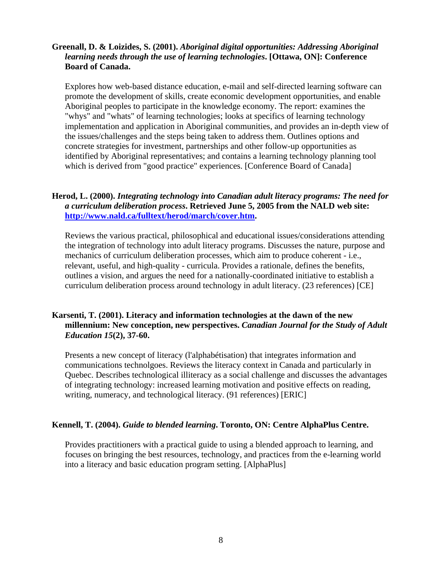# **Greenall, D. & Loizides, S. (2001).** *Aboriginal digital opportunities: Addressing Aboriginal learning needs through the use of learning technologies***. [Ottawa, ON]: Conference Board of Canada.**

Explores how web-based distance education, e-mail and self-directed learning software can promote the development of skills, create economic development opportunities, and enable Aboriginal peoples to participate in the knowledge economy. The report: examines the "whys" and "whats" of learning technologies; looks at specifics of learning technology implementation and application in Aboriginal communities, and provides an in-depth view of the issues/challenges and the steps being taken to address them. Outlines options and concrete strategies for investment, partnerships and other follow-up opportunities as identified by Aboriginal representatives; and contains a learning technology planning tool which is derived from "good practice" experiences. [Conference Board of Canada]

# **Herod, L. (2000).** *Integrating technology into Canadian adult literacy programs: The need for a curriculum deliberation process***. Retrieved June 5, 2005 from the NALD web site: [http://www.nald.ca/fulltext/herod/march/cover.htm.](http://www.nald.ca/fulltext/herod/march/cover.htm)**

Reviews the various practical, philosophical and educational issues/considerations attending the integration of technology into adult literacy programs. Discusses the nature, purpose and mechanics of curriculum deliberation processes, which aim to produce coherent - i.e., relevant, useful, and high-quality - curricula. Provides a rationale, defines the benefits, outlines a vision, and argues the need for a nationally-coordinated initiative to establish a curriculum deliberation process around technology in adult literacy. (23 references) [CE]

# **Karsenti, T. (2001). Literacy and information technologies at the dawn of the new millennium: New conception, new perspectives.** *Canadian Journal for the Study of Adult Education 15***(2), 37-60.**

Presents a new concept of literacy (l'alphabétisation) that integrates information and communications technolgoes. Reviews the literacy context in Canada and particularly in Quebec. Describes technological illiteracy as a social challenge and discusses the advantages of integrating technology: increased learning motivation and positive effects on reading, writing, numeracy, and technological literacy. (91 references) [ERIC]

#### **Kennell, T. (2004).** *Guide to blended learning***. Toronto, ON: Centre AlphaPlus Centre.**

Provides practitioners with a practical guide to using a blended approach to learning, and focuses on bringing the best resources, technology, and practices from the e-learning world into a literacy and basic education program setting. [AlphaPlus]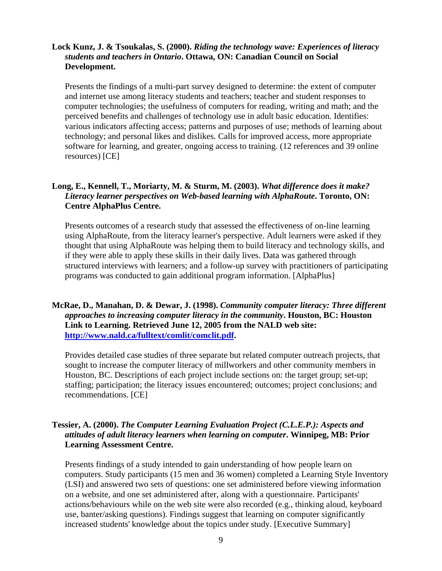# **Lock Kunz, J. & Tsoukalas, S. (2000).** *Riding the technology wave: Experiences of literacy students and teachers in Ontario***. Ottawa, ON: Canadian Council on Social Development.**

Presents the findings of a multi-part survey designed to determine: the extent of computer and internet use among literacy students and teachers; teacher and student responses to computer technologies; the usefulness of computers for reading, writing and math; and the perceived benefits and challenges of technology use in adult basic education. Identifies: various indicators affecting access; patterns and purposes of use; methods of learning about technology; and personal likes and dislikes. Calls for improved access, more appropriate software for learning, and greater, ongoing access to training. (12 references and 39 online resources) [CE]

# **Long, E., Kennell, T., Moriarty, M. & Sturm, M. (2003).** *What difference does it make? Literacy learner perspectives on Web-based learning with AlphaRoute***. Toronto, ON: Centre AlphaPlus Centre.**

Presents outcomes of a research study that assessed the effectiveness of on-line learning using AlphaRoute, from the literacy learner's perspective. Adult learners were asked if they thought that using AlphaRoute was helping them to build literacy and technology skills, and if they were able to apply these skills in their daily lives. Data was gathered through structured interviews with learners; and a follow-up survey with practitioners of participating programs was conducted to gain additional program information. [AlphaPlus]

# **McRae, D., Manahan, D. & Dewar, J. (1998).** *Community computer literacy: Three different approaches to increasing computer literacy in the community***. Houston, BC: Houston Link to Learning. Retrieved June 12, 2005 from the NALD web site: [http://www.nald.ca/fulltext/comlit/comclit.pdf.](http://www.nald.ca/fulltext/comlit/comclit.pdf)**

Provides detailed case studies of three separate but related computer outreach projects, that sought to increase the computer literacy of millworkers and other community members in Houston, BC. Descriptions of each project include sections on: the target group; set-up; staffing; participation; the literacy issues encountered; outcomes; project conclusions; and recommendations. [CE]

# **Tessier, A. (2000).** *The Computer Learning Evaluation Project (C.L.E.P.): Aspects and attitudes of adult literacy learners when learning on computer***. Winnipeg, MB: Prior Learning Assessment Centre.**

Presents findings of a study intended to gain understanding of how people learn on computers. Study participants (15 men and 36 women) completed a Learning Style Inventory (LSI) and answered two sets of questions: one set administered before viewing information on a website, and one set administered after, along with a questionnaire. Participants' actions/behaviours while on the web site were also recorded (e.g., thinking aloud, keyboard use, banter/asking questions). Findings suggest that learning on computer significantly increased students' knowledge about the topics under study. [Executive Summary]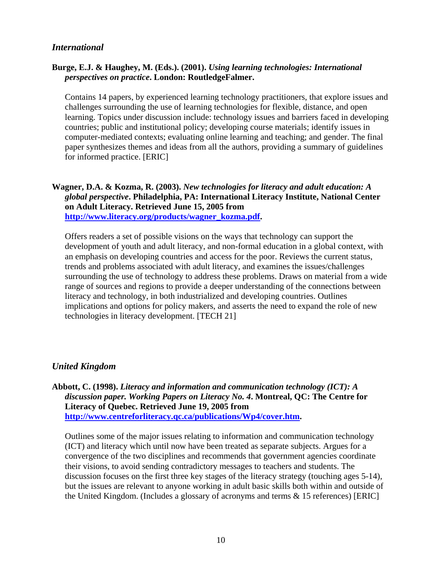### <span id="page-9-0"></span>*International*

# **Burge, E.J. & Haughey, M. (Eds.). (2001).** *Using learning technologies: International perspectives on practice***. London: RoutledgeFalmer.**

Contains 14 papers, by experienced learning technology practitioners, that explore issues and challenges surrounding the use of learning technologies for flexible, distance, and open learning. Topics under discussion include: technology issues and barriers faced in developing countries; public and institutional policy; developing course materials; identify issues in computer-mediated contexts; evaluating online learning and teaching; and gender. The final paper synthesizes themes and ideas from all the authors, providing a summary of guidelines for informed practice. [ERIC]

# **Wagner, D.A. & Kozma, R. (2003).** *New technologies for literacy and adult education: A global perspective***. Philadelphia, PA: International Literacy Institute, National Center on Adult Literacy. Retrieved June 15, 2005 from [http://www.literacy.org/products/wagner\\_kozma.pdf.](http://www.literacy.org/products/wagner_kozma.pdf)**

Offers readers a set of possible visions on the ways that technology can support the development of youth and adult literacy, and non-formal education in a global context, with an emphasis on developing countries and access for the poor. Reviews the current status, trends and problems associated with adult literacy, and examines the issues/challenges surrounding the use of technology to address these problems. Draws on material from a wide range of sources and regions to provide a deeper understanding of the connections between literacy and technology, in both industrialized and developing countries. Outlines implications and options for policy makers, and asserts the need to expand the role of new technologies in literacy development. [TECH 21]

# *United Kingdom*

**Abbott, C. (1998).** *Literacy and information and communication technology (ICT): A discussion paper. Working Papers on Literacy No. 4***. Montreal, QC: The Centre for Literacy of Quebec. Retrieved June 19, 2005 from [http://www.centreforliteracy.qc.ca/publications/Wp4/cover.htm.](http://www.centreforliteracy.qc.ca/publications/Wp4/cover.htm)** 

Outlines some of the major issues relating to information and communication technology (ICT) and literacy which until now have been treated as separate subjects. Argues for a convergence of the two disciplines and recommends that government agencies coordinate their visions, to avoid sending contradictory messages to teachers and students. The discussion focuses on the first three key stages of the literacy strategy (touching ages 5-14), but the issues are relevant to anyone working in adult basic skills both within and outside of the United Kingdom. (Includes a glossary of acronyms and terms & 15 references) [ERIC]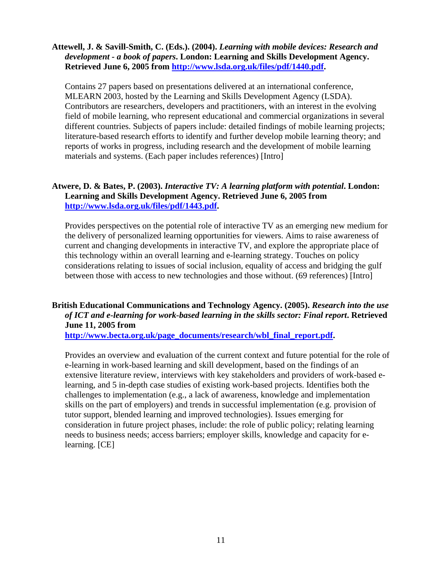#### **Attewell, J. & Savill-Smith, C. (Eds.). (2004).** *Learning with mobile devices: Research and development - a book of papers***. London: Learning and Skills Development Agency. Retrieved June 6, 2005 from [http://www.lsda.org.uk/files/pdf/1440.pdf.](http://www.lsda.org.uk/files/pdf/1440.pdf)**

Contains 27 papers based on presentations delivered at an international conference, MLEARN 2003, hosted by the Learning and Skills Development Agency (LSDA). Contributors are researchers, developers and practitioners, with an interest in the evolving field of mobile learning, who represent educational and commercial organizations in several different countries. Subjects of papers include: detailed findings of mobile learning projects; literature-based research efforts to identify and further develop mobile learning theory; and reports of works in progress, including research and the development of mobile learning materials and systems. (Each paper includes references) [Intro]

# **Atwere, D. & Bates, P. (2003).** *Interactive TV: A learning platform with potential***. London: Learning and Skills Development Agency. Retrieved June 6, 2005 from [http://www.lsda.org.uk/files/pdf/1443.pdf.](http://www.lsda.org.uk/files/pdf/1443.pdf)**

Provides perspectives on the potential role of interactive TV as an emerging new medium for the delivery of personalized learning opportunities for viewers. Aims to raise awareness of current and changing developments in interactive TV, and explore the appropriate place of this technology within an overall learning and e-learning strategy. Touches on policy considerations relating to issues of social inclusion, equality of access and bridging the gulf between those with access to new technologies and those without. (69 references) [Intro]

# **British Educational Communications and Technology Agency. (2005).** *Research into the use of ICT and e-learning for work-based learning in the skills sector: Final report***. Retrieved June 11, 2005 from**

**[http://www.becta.org.uk/page\\_documents/research/wbl\\_final\\_report.pdf.](http://www.becta.org.uk/page_documents/research/wbl_final_report.pdf)** 

Provides an overview and evaluation of the current context and future potential for the role of e-learning in work-based learning and skill development, based on the findings of an extensive literature review, interviews with key stakeholders and providers of work-based elearning, and 5 in-depth case studies of existing work-based projects. Identifies both the challenges to implementation (e.g., a lack of awareness, knowledge and implementation skills on the part of employers) and trends in successful implementation (e.g. provision of tutor support, blended learning and improved technologies). Issues emerging for consideration in future project phases, include: the role of public policy; relating learning needs to business needs; access barriers; employer skills, knowledge and capacity for elearning. [CE]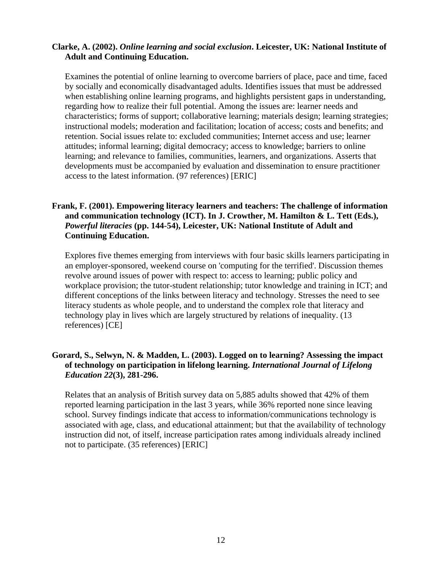#### **Clarke, A. (2002).** *Online learning and social exclusion***. Leicester, UK: National Institute of Adult and Continuing Education.**

Examines the potential of online learning to overcome barriers of place, pace and time, faced by socially and economically disadvantaged adults. Identifies issues that must be addressed when establishing online learning programs, and highlights persistent gaps in understanding, regarding how to realize their full potential. Among the issues are: learner needs and characteristics; forms of support; collaborative learning; materials design; learning strategies; instructional models; moderation and facilitation; location of access; costs and benefits; and retention. Social issues relate to: excluded communities; Internet access and use; learner attitudes; informal learning; digital democracy; access to knowledge; barriers to online learning; and relevance to families, communities, learners, and organizations. Asserts that developments must be accompanied by evaluation and dissemination to ensure practitioner access to the latest information. (97 references) [ERIC]

# **Frank, F. (2001). Empowering literacy learners and teachers: The challenge of information and communication technology (ICT). In J. Crowther, M. Hamilton & L. Tett (Eds.),**  *Powerful literacies* **(pp. 144-54), Leicester, UK: National Institute of Adult and Continuing Education.**

Explores five themes emerging from interviews with four basic skills learners participating in an employer-sponsored, weekend course on 'computing for the terrified'. Discussion themes revolve around issues of power with respect to: access to learning; public policy and workplace provision; the tutor-student relationship; tutor knowledge and training in ICT; and different conceptions of the links between literacy and technology. Stresses the need to see literacy students as whole people, and to understand the complex role that literacy and technology play in lives which are largely structured by relations of inequality. (13 references) [CE]

# **Gorard, S., Selwyn, N. & Madden, L. (2003). Logged on to learning? Assessing the impact of technology on participation in lifelong learning.** *International Journal of Lifelong Education 22***(3), 281-296.**

Relates that an analysis of British survey data on 5,885 adults showed that 42% of them reported learning participation in the last 3 years, while 36% reported none since leaving school. Survey findings indicate that access to information/communications technology is associated with age, class, and educational attainment; but that the availability of technology instruction did not, of itself, increase participation rates among individuals already inclined not to participate. (35 references) [ERIC]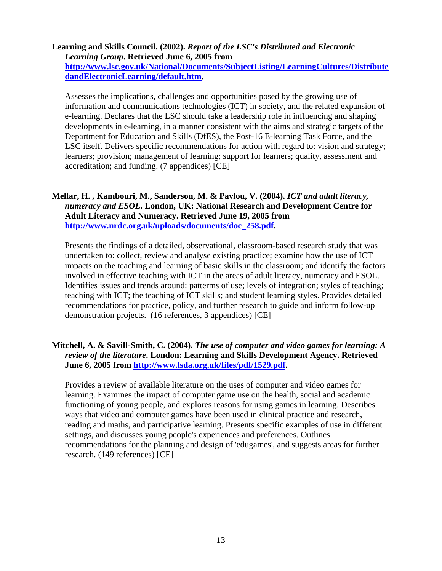# **Learning and Skills Council. (2002).** *Report of the LSC's Distributed and Electronic Learning Group***. Retrieved June 6, 2005 from**

**[http://www.lsc.gov.uk/National/Documents/SubjectListing/LearningCultures/Distribute](http://www.lsc.gov.uk/National/Documents/SubjectListing/LearningCultures/DistributedandElectronicLearning/default.htm)  dandElectronicLearning/default.htm.** 

Assesses the implications, challenges and opportunities posed by the growing use of information and communications technologies (ICT) in society, and the related expansion of e-learning. Declares that the LSC should take a leadership role in influencing and shaping developments in e-learning, in a manner consistent with the aims and strategic targets of the Department for Education and Skills (DfES), the Post-16 E-learning Task Force, and the LSC itself. Delivers specific recommendations for action with regard to: vision and strategy; learners; provision; management of learning; support for learners; quality, assessment and accreditation; and funding. (7 appendices) [CE]

# **Mellar, H. , Kambouri, M., Sanderson, M. & Pavlou, V. (2004).** *ICT and adult literacy, numeracy and ESOL***. London, UK: National Research and Development Centre for Adult Literacy and Numeracy. Retrieved June 19, 2005 from [http://www.nrdc.org.uk/uploads/documents/doc\\_258.pdf.](http://www.nrdc.org.uk/uploads/documents/doc_258.pdf)**

Presents the findings of a detailed, observational, classroom-based research study that was undertaken to: collect, review and analyse existing practice; examine how the use of ICT impacts on the teaching and learning of basic skills in the classroom; and identify the factors involved in effective teaching with ICT in the areas of adult literacy, numeracy and ESOL. Identifies issues and trends around: patterms of use; levels of integration; styles of teaching; teaching with ICT; the teaching of ICT skills; and student learning styles. Provides detailed recommendations for practice, policy, and further research to guide and inform follow-up demonstration projects. (16 references, 3 appendices) [CE]

### **Mitchell, A. & Savill-Smith, C. (2004).** *The use of computer and video games for learning: A review of the literature***. London: Learning and Skills Development Agency. Retrieved June 6, 2005 from [http://www.lsda.org.uk/files/pdf/1529.pdf.](http://www.lsda.org.uk/files/pdf/1529.pdf)**

Provides a review of available literature on the uses of computer and video games for learning. Examines the impact of computer game use on the health, social and academic functioning of young people, and explores reasons for using games in learning. Describes ways that video and computer games have been used in clinical practice and research, reading and maths, and participative learning. Presents specific examples of use in different settings, and discusses young people's experiences and preferences. Outlines recommendations for the planning and design of 'edugames', and suggests areas for further research. (149 references) [CE]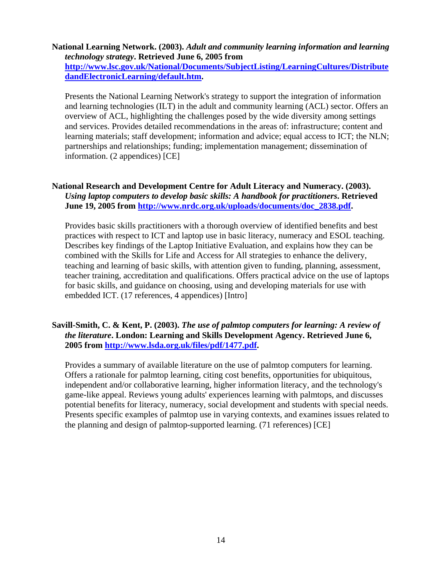# **National Learning Network. (2003).** *Adult and community learning information and learning technology strategy***. Retrieved June 6, 2005 from**

**[http://www.lsc.gov.uk/National/Documents/SubjectListing/LearningCultures/Distribute](http://www.lsc.gov.uk/National/Documents/SubjectListing/LearningCultures/DistributedandElectronicLearning/default.htm)  dandElectronicLearning/default.htm.** 

Presents the National Learning Network's strategy to support the integration of information and learning technologies (ILT) in the adult and community learning (ACL) sector. Offers an overview of ACL, highlighting the challenges posed by the wide diversity among settings and services. Provides detailed recommendations in the areas of: infrastructure; content and learning materials; staff development; information and advice; equal access to ICT; the NLN; partnerships and relationships; funding; implementation management; dissemination of information. (2 appendices) [CE]

# **National Research and Development Centre for Adult Literacy and Numeracy. (2003).**  *Using laptop computers to develop basic skills: A handbook for practitioners***. Retrieved June 19, 2005 fro[m http://www.nrdc.org.uk/uploads/documents/doc\\_2838.pdf.](http://www.nrdc.org.uk/uploads/documents/doc_2838.pdf)**

Provides basic skills practitioners with a thorough overview of identified benefits and best practices with respect to ICT and laptop use in basic literacy, numeracy and ESOL teaching. Describes key findings of the Laptop Initiative Evaluation, and explains how they can be combined with the Skills for Life and Access for All strategies to enhance the delivery, teaching and learning of basic skills, with attention given to funding, planning, assessment, teacher training, accreditation and qualifications. Offers practical advice on the use of laptops for basic skills, and guidance on choosing, using and developing materials for use with embedded ICT. (17 references, 4 appendices) [Intro]

# **Savill-Smith, C. & Kent, P. (2003).** *The use of palmtop computers for learning: A review of the literature***. London: Learning and Skills Development Agency. Retrieved June 6, 2005 from [http://www.lsda.org.uk/files/pdf/1477.pdf.](http://www.lsda.org.uk/files/pdf/1477.pdf)**

Provides a summary of available literature on the use of palmtop computers for learning. Offers a rationale for palmtop learning, citing cost benefits, opportunities for ubiquitous, independent and/or collaborative learning, higher information literacy, and the technology's game-like appeal. Reviews young adults' experiences learning with palmtops, and discusses potential benefits for literacy, numeracy, social development and students with special needs. Presents specific examples of palmtop use in varying contexts, and examines issues related to the planning and design of palmtop-supported learning. (71 references) [CE]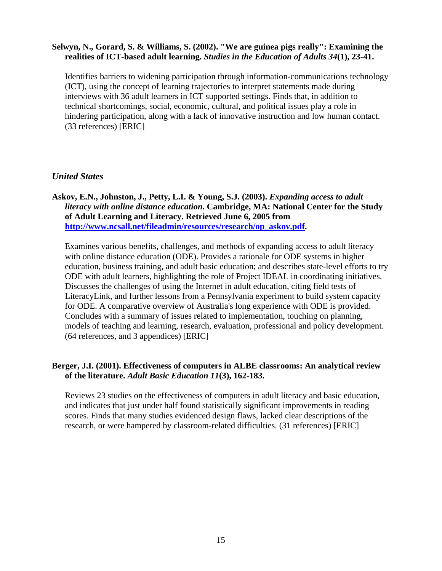#### <span id="page-14-0"></span>**Selwyn, N., Gorard, S. & Williams, S. (2002). "We are guinea pigs really": Examining the realities of ICT-based adult learning.** *Studies in the Education of Adults 34***(1), 23-41.**

Identifies barriers to widening participation through information-communications technology (ICT), using the concept of learning trajectories to interpret statements made during interviews with 36 adult learners in ICT supported settings. Finds that, in addition to technical shortcomings, social, economic, cultural, and political issues play a role in hindering participation, along with a lack of innovative instruction and low human contact. (33 references) [ERIC]

# *United States*

# **Askov, E.N., Johnston, J., Petty, L.I. & Young, S.J. (2003).** *Expanding access to adult literacy with online distance education***. Cambridge, MA: National Center for the Study of Adult Learning and Literacy. Retrieved June 6, 2005 from [http://www.ncsall.net/fileadmin/resources/research/op\\_askov.pdf.](http://www.ncsall.net/fileadmin/resources/research/op_askov.pdf)**

Examines various benefits, challenges, and methods of expanding access to adult literacy with online distance education (ODE). Provides a rationale for ODE systems in higher education, business training, and adult basic education; and describes state-level efforts to try ODE with adult learners, highlighting the role of Project IDEAL in coordinating initiatives. Discusses the challenges of using the Internet in adult education, citing field tests of LiteracyLink, and further lessons from a Pennsylvania experiment to build system capacity for ODE. A comparative overview of Australia's long experience with ODE is provided. Concludes with a summary of issues related to implementation, touching on planning, models of teaching and learning, research, evaluation, professional and policy development. (64 references, and 3 appendices) [ERIC]

### **Berger, J.I. (2001). Effectiveness of computers in ALBE classrooms: An analytical review of the literature.** *Adult Basic Education 11***(3), 162-183.**

Reviews 23 studies on the effectiveness of computers in adult literacy and basic education, and indicates that just under half found statistically significant improvements in reading scores. Finds that many studies evidenced design flaws, lacked clear descriptions of the research, or were hampered by classroom-related difficulties. (31 references) [ERIC]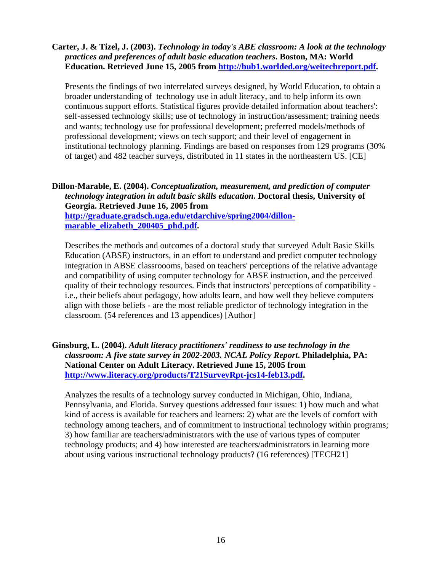#### **Carter, J. & Tizel, J. (2003).** *Technology in today's ABE classroom: A look at the technology practices and preferences of adult basic education teachers***. Boston, MA: World Education. Retrieved June 15, 2005 from [http://hub1.worlded.org/weitechreport.pdf.](http://hub1.worlded.org/weitechreport.pdf)**

Presents the findings of two interrelated surveys designed, by World Education, to obtain a broader understanding of technology use in adult literacy, and to help inform its own continuous support efforts. Statistical figures provide detailed information about teachers': self-assessed technology skills; use of technology in instruction/assessment; training needs and wants; technology use for professional development; preferred models/methods of professional development; views on tech support; and their level of engagement in institutional technology planning. Findings are based on responses from 129 programs (30% of target) and 482 teacher surveys, distributed in 11 states in the northeastern US. [CE]

**Dillon-Marable, E. (2004).** *Conceptualization, measurement, and prediction of computer technology integration in adult basic skills education***. Doctoral thesis, University of Georgia. Retrieved June 16, 2005 from [http://graduate.gradsch.uga.edu/etdarchive/spring2004/dillon](http://graduate.gradsch.uga.edu/etdarchive/spring2004/dillon-marable_elizabeth_200405_phd.pdf)marable\_elizabeth\_200405\_phd.pdf.** 

Describes the methods and outcomes of a doctoral study that surveyed Adult Basic Skills Education (ABSE) instructors, in an effort to understand and predict computer technology integration in ABSE classroooms, based on teachers' perceptions of the relative advantage and compatibility of using computer technology for ABSE instruction, and the perceived quality of their technology resources. Finds that instructors' perceptions of compatibility i.e., their beliefs about pedagogy, how adults learn, and how well they believe computers align with those beliefs - are the most reliable predictor of technology integration in the classroom. (54 references and 13 appendices) [Author]

# **Ginsburg, L. (2004).** *Adult literacy practitioners' readiness to use technology in the classroom: A five state survey in 2002-2003. NCAL Policy Report***. Philadelphia, PA: National Center on Adult Literacy. Retrieved June 15, 2005 from [http://www.literacy.org/products/T21SurveyRpt-jcs14-feb13.pdf.](http://www.literacy.org/products/T21SurveyRpt-jcs14-feb13.pdf)**

Analyzes the results of a technology survey conducted in Michigan, Ohio, Indiana, Pennsylvania, and Florida. Survey questions addressed four issues: 1) how much and what kind of access is available for teachers and learners: 2) what are the levels of comfort with technology among teachers, and of commitment to instructional technology within programs; 3) how familiar are teachers/administrators with the use of various types of computer technology products; and 4) how interested are teachers/administrators in learning more about using various instructional technology products? (16 references) [TECH21]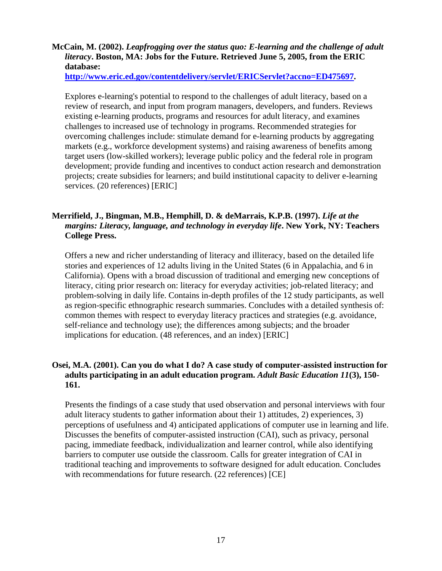# **McCain, M. (2002).** *Leapfrogging over the status quo: E-learning and the challenge of adult literacy***. Boston, MA: Jobs for the Future. Retrieved June 5, 2005, from the ERIC database:**

**<http://www.eric.ed.gov/contentdelivery/servlet/ERICServlet?accno=ED475697>.** 

Explores e-learning's potential to respond to the challenges of adult literacy, based on a review of research, and input from program managers, developers, and funders. Reviews existing e-learning products, programs and resources for adult literacy, and examines challenges to increased use of technology in programs. Recommended strategies for overcoming challenges include: stimulate demand for e-learning products by aggregating markets (e.g., workforce development systems) and raising awareness of benefits among target users (low-skilled workers); leverage public policy and the federal role in program development; provide funding and incentives to conduct action research and demonstration projects; create subsidies for learners; and build institutional capacity to deliver e-learning services. (20 references) [ERIC]

# **Merrifield, J., Bingman, M.B., Hemphill, D. & deMarrais, K.P.B. (1997).** *Life at the margins: Literacy, language, and technology in everyday life***. New York, NY: Teachers College Press.**

Offers a new and richer understanding of literacy and illiteracy, based on the detailed life stories and experiences of 12 adults living in the United States (6 in Appalachia, and 6 in California). Opens with a broad discussion of traditional and emerging new conceptions of literacy, citing prior research on: literacy for everyday activities; job-related literacy; and problem-solving in daily life. Contains in-depth profiles of the 12 study participants, as well as region-specific ethnographic research summaries. Concludes with a detailed synthesis of: common themes with respect to everyday literacy practices and strategies (e.g. avoidance, self-reliance and technology use); the differences among subjects; and the broader implications for education. (48 references, and an index) [ERIC]

# **Osei, M.A. (2001). Can you do what I do? A case study of computer-assisted instruction for adults participating in an adult education program.** *Adult Basic Education 11***(3), 150 161.**

Presents the findings of a case study that used observation and personal interviews with four adult literacy students to gather information about their 1) attitudes, 2) experiences, 3) perceptions of usefulness and 4) anticipated applications of computer use in learning and life. Discusses the benefits of computer-assisted instruction (CAI), such as privacy, personal pacing, immediate feedback, individualization and learner control, while also identifying barriers to computer use outside the classroom. Calls for greater integration of CAI in traditional teaching and improvements to software designed for adult education. Concludes with recommendations for future research. (22 references) [CE]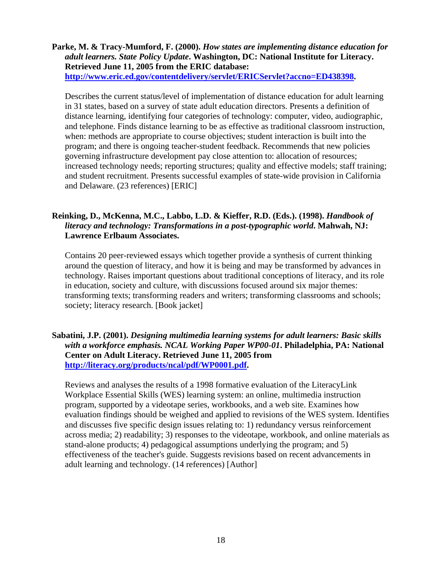**Parke, M. & Tracy-Mumford, F. (2000).** *How states are implementing distance education for adult learners. State Policy Update***. Washington, DC: National Institute for Literacy. Retrieved June 11, 2005 from the ERIC database: <http://www.eric.ed.gov/contentdelivery/servlet/ERICServlet?accno=ED438398>.** 

Describes the current status/level of implementation of distance education for adult learning in 31 states, based on a survey of state adult education directors. Presents a definition of distance learning, identifying four categories of technology: computer, video, audiographic, and telephone. Finds distance learning to be as effective as traditional classroom instruction, when: methods are appropriate to course objectives; student interaction is built into the program; and there is ongoing teacher-student feedback. Recommends that new policies governing infrastructure development pay close attention to: allocation of resources; increased technology needs; reporting structures; quality and effective models; staff training; and student recruitment. Presents successful examples of state-wide provision in California and Delaware. (23 references) [ERIC]

# **Reinking, D., McKenna, M.C., Labbo, L.D. & Kieffer, R.D. (Eds.). (1998).** *Handbook of literacy and technology: Transformations in a post-typographic world***. Mahwah, NJ: Lawrence Erlbaum Associates.**

Contains 20 peer-reviewed essays which together provide a synthesis of current thinking around the question of literacy, and how it is being and may be transformed by advances in technology. Raises important questions about traditional conceptions of literacy, and its role in education, society and culture, with discussions focused around six major themes: transforming texts; transforming readers and writers; transforming classrooms and schools; society; literacy research. [Book jacket]

# **Sabatini, J.P. (2001).** *Designing multimedia learning systems for adult learners: Basic skills with a workforce emphasis. NCAL Working Paper WP00-01***. Philadelphia, PA: National Center on Adult Literacy. Retrieved June 11, 2005 from [http://literacy.org/products/ncal/pdf/WP0001.pdf.](http://literacy.org/products/ncal/pdf/WP0001.pdf)**

Reviews and analyses the results of a 1998 formative evaluation of the LiteracyLink Workplace Essential Skills (WES) learning system: an online, multimedia instruction program, supported by a videotape series, workbooks, and a web site. Examines how evaluation findings should be weighed and applied to revisions of the WES system. Identifies and discusses five specific design issues relating to: 1) redundancy versus reinforcement across media; 2) readability; 3) responses to the videotape, workbook, and online materials as stand-alone products; 4) pedagogical assumptions underlying the program; and 5) effectiveness of the teacher's guide. Suggests revisions based on recent advancements in adult learning and technology. (14 references) [Author]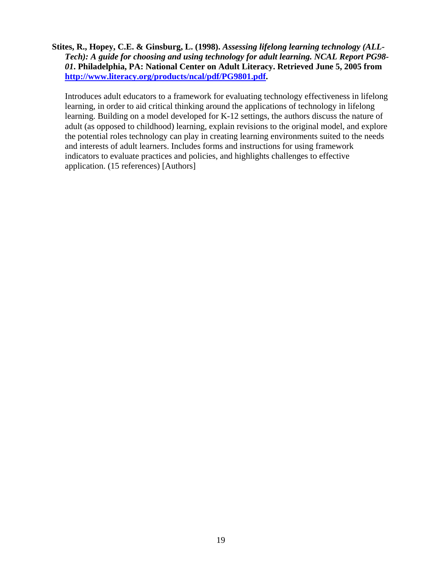**Stites, R., Hopey, C.E. & Ginsburg, L. (1998).** *Assessing lifelong learning technology (ALL-Tech): A guide for choosing and using technology for adult learning. NCAL Report PG98- 01***. Philadelphia, PA: National Center on Adult Literacy. Retrieved June 5, 2005 from [http://www.literacy.org/products/ncal/pdf/PG9801.pdf.](http://www.literacy.org/products/ncal/pdf/PG9801.pdf)** 

Introduces adult educators to a framework for evaluating technology effectiveness in lifelong learning, in order to aid critical thinking around the applications of technology in lifelong learning. Building on a model developed for K-12 settings, the authors discuss the nature of adult (as opposed to childhood) learning, explain revisions to the original model, and explore the potential roles technology can play in creating learning environments suited to the needs and interests of adult learners. Includes forms and instructions for using framework indicators to evaluate practices and policies, and highlights challenges to effective application. (15 references) [Authors]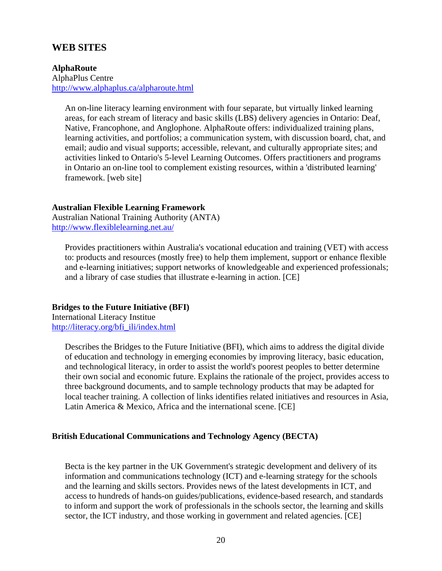# <span id="page-19-0"></span>**WEB SITES**

# **AlphaRoute**  AlphaPlus Centre

<http://www.alphaplus.ca/alpharoute.html>

An on-line literacy learning environment with four separate, but virtually linked learning areas, for each stream of literacy and basic skills (LBS) delivery agencies in Ontario: Deaf, Native, Francophone, and Anglophone. AlphaRoute offers: individualized training plans, learning activities, and portfolios; a communication system, with discussion board, chat, and email; audio and visual supports; accessible, relevant, and culturally appropriate sites; and activities linked to Ontario's 5-level Learning Outcomes. Offers practitioners and programs in Ontario an on-line tool to complement existing resources, within a 'distributed learning' framework. [web site]

#### **Australian Flexible Learning Framework**

Australian National Training Authority (ANTA) <http://www.flexiblelearning.net.au/>

Provides practitioners within Australia's vocational education and training (VET) with access to: products and resources (mostly free) to help them implement, support or enhance flexible and e-learning initiatives; support networks of knowledgeable and experienced professionals; and a library of case studies that illustrate e-learning in action. [CE]

#### **Bridges to the Future Initiative (BFI)**

International Literacy Institue [http://literacy.org/bfi\\_ili/index.html](http://literacy.org/bfi_ili/index.html) 

> Describes the Bridges to the Future Initiative (BFI), which aims to address the digital divide of education and technology in emerging economies by improving literacy, basic education, and technological literacy, in order to assist the world's poorest peoples to better determine their own social and economic future. Explains the rationale of the project, provides access to three background documents, and to sample technology products that may be adapted for local teacher training. A collection of links identifies related initiatives and resources in Asia, Latin America & Mexico, Africa and the international scene. [CE]

#### **British Educational Communications and Technology Agency (BECTA)**

Becta is the key partner in the UK Government's strategic development and delivery of its information and communications technology (ICT) and e-learning strategy for the schools and the learning and skills sectors. Provides news of the latest developments in ICT, and access to hundreds of hands-on guides/publications, evidence-based research, and standards to inform and support the work of professionals in the schools sector, the learning and skills sector, the ICT industry, and those working in government and related agencies. [CE]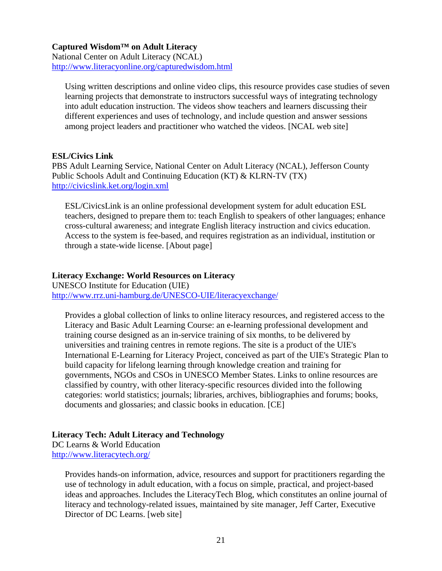#### **Captured Wisdom™ on Adult Literacy**

National Center on Adult Literacy (NCAL) <http://www.literacyonline.org/capturedwisdom.html>

Using written descriptions and online video clips, this resource provides case studies of seven learning projects that demonstrate to instructors successful ways of integrating technology into adult education instruction. The videos show teachers and learners discussing their different experiences and uses of technology, and include question and answer sessions among project leaders and practitioner who watched the videos. [NCAL web site]

#### **ESL/Civics Link**

PBS Adult Learning Service, National Center on Adult Literacy (NCAL), Jefferson County Public Schools Adult and Continuing Education (KT) & KLRN-TV (TX) <http://civicslink.ket.org/login.xml>

ESL/CivicsLink is an online professional development system for adult education ESL teachers, designed to prepare them to: teach English to speakers of other languages; enhance cross-cultural awareness; and integrate English literacy instruction and civics education. Access to the system is fee-based, and requires registration as an individual, institution or through a state-wide license. [About page]

#### **Literacy Exchange: World Resources on Literacy**

UNESCO Institute for Education (UIE) <http://www.rrz.uni-hamburg.de/UNESCO-UIE/literacyexchange/>

Provides a global collection of links to online literacy resources, and registered access to the Literacy and Basic Adult Learning Course: an e-learning professional development and training course designed as an in-service training of six months, to be delivered by universities and training centres in remote regions. The site is a product of the UIE's International E-Learning for Literacy Project, conceived as part of the UIE's Strategic Plan to build capacity for lifelong learning through knowledge creation and training for governments, NGOs and CSOs in UNESCO Member States. Links to online resources are classified by country, with other literacy-specific resources divided into the following categories: world statistics; journals; libraries, archives, bibliographies and forums; books, documents and glossaries; and classic books in education. [CE]

# **Literacy Tech: Adult Literacy and Technology**

DC Learns & World Education <http://www.literacytech.org/>

> Provides hands-on information, advice, resources and support for practitioners regarding the use of technology in adult education, with a focus on simple, practical, and project-based ideas and approaches. Includes the LiteracyTech Blog, which constitutes an online journal of literacy and technology-related issues, maintained by site manager, Jeff Carter, Executive Director of DC Learns. [web site]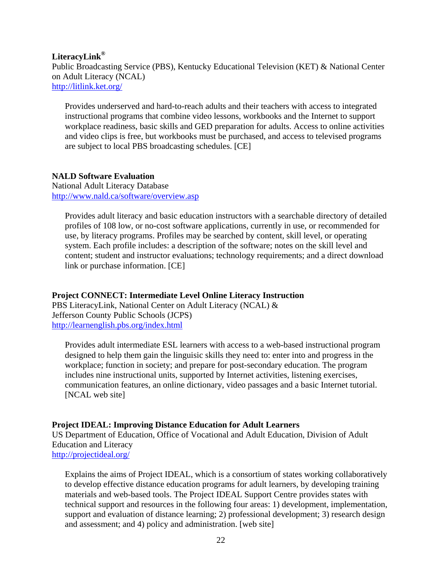#### **LiteracyLink®**

Public Broadcasting Service (PBS), Kentucky Educational Television (KET) & National Center on Adult Literacy (NCAL) <http://litlink.ket.org/>

Provides underserved and hard-to-reach adults and their teachers with access to integrated instructional programs that combine video lessons, workbooks and the Internet to support workplace readiness, basic skills and GED preparation for adults. Access to online activities and video clips is free, but workbooks must be purchased, and access to televised programs are subject to local PBS broadcasting schedules. [CE]

# **NALD Software Evaluation**

National Adult Literacy Database <http://www.nald.ca/software/overview.asp>

Provides adult literacy and basic education instructors with a searchable directory of detailed profiles of 108 low, or no-cost software applications, currently in use, or recommended for use, by literacy programs. Profiles may be searched by content, skill level, or operating system. Each profile includes: a description of the software; notes on the skill level and content; student and instructor evaluations; technology requirements; and a direct download link or purchase information. [CE]

#### **Project CONNECT: Intermediate Level Online Literacy Instruction**

PBS LiteracyLink, National Center on Adult Literacy (NCAL) & Jefferson County Public Schools (JCPS) <http://learnenglish.pbs.org/index.html>

Provides adult intermediate ESL learners with access to a web-based instructional program designed to help them gain the linguisic skills they need to: enter into and progress in the workplace; function in society; and prepare for post-secondary education. The program includes nine instructional units, supported by Internet activities, listening exercises, communication features, an online dictionary, video passages and a basic Internet tutorial. [NCAL web site]

#### **Project IDEAL: Improving Distance Education for Adult Learners**

US Department of Education, Office of Vocational and Adult Education, Division of Adult Education and Literacy <http://projectideal.org/>

Explains the aims of Project IDEAL, which is a consortium of states working collaboratively to develop effective distance education programs for adult learners, by developing training materials and web-based tools. The Project IDEAL Support Centre provides states with technical support and resources in the following four areas: 1) development, implementation, support and evaluation of distance learning; 2) professional development; 3) research design and assessment; and 4) policy and administration. [web site]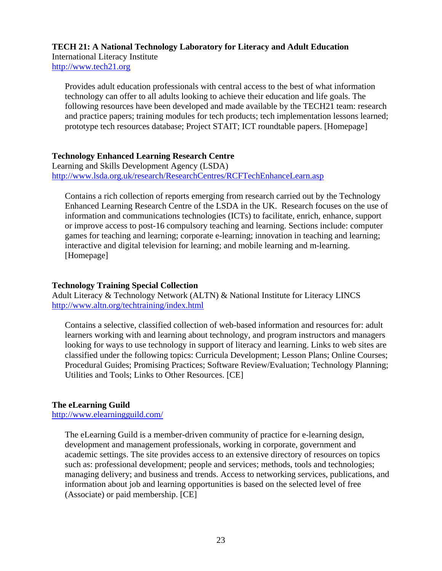# **TECH 21: A National Technology Laboratory for Literacy and Adult Education**  International Literacy Institute

<http://www.tech21.org>

Provides adult education professionals with central access to the best of what information technology can offer to all adults looking to achieve their education and life goals. The following resources have been developed and made available by the TECH21 team: research and practice papers; training modules for tech products; tech implementation lessons learned; prototype tech resources database; Project STAIT; ICT roundtable papers. [Homepage]

# **Technology Enhanced Learning Research Centre**

Learning and Skills Development Agency (LSDA) <http://www.lsda.org.uk/research/ResearchCentres/RCFTechEnhanceLearn.asp>

Contains a rich collection of reports emerging from research carried out by the Technology Enhanced Learning Research Centre of the LSDA in the UK. Research focuses on the use of information and communications technologies (ICTs) to facilitate, enrich, enhance, support or improve access to post-16 compulsory teaching and learning. Sections include: computer games for teaching and learning; corporate e-learning; innovation in teaching and learning; interactive and digital television for learning; and mobile learning and m-learning. [Homepage]

# **Technology Training Special Collection**

Adult Literacy & Technology Network (ALTN) & National Institute for Literacy LINCS <http://www.altn.org/techtraining/index.html>

Contains a selective, classified collection of web-based information and resources for: adult learners working with and learning about technology, and program instructors and managers looking for ways to use technology in support of literacy and learning. Links to web sites are classified under the following topics: Curricula Development; Lesson Plans; Online Courses; Procedural Guides; Promising Practices; Software Review/Evaluation; Technology Planning; Utilities and Tools; Links to Other Resources. [CE]

# **The eLearning Guild**

<http://www.elearningguild.com/>

The eLearning Guild is a member-driven community of practice for e-learning design, development and management professionals, working in corporate, government and academic settings. The site provides access to an extensive directory of resources on topics such as: professional development; people and services; methods, tools and technologies; managing delivery; and business and trends. Access to networking services, publications, and information about job and learning opportunities is based on the selected level of free (Associate) or paid membership. [CE]